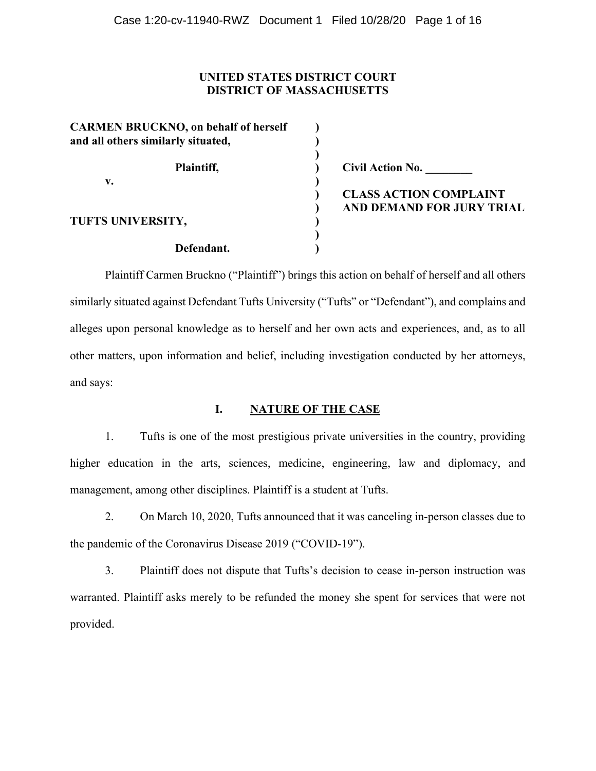## **UNITED STATES DISTRICT COURT DISTRICT OF MASSACHUSETTS**

| <b>CARMEN BRUCKNO</b> , on behalf of herself<br>and all others similarly situated, |                               |
|------------------------------------------------------------------------------------|-------------------------------|
| Plaintiff,                                                                         | <b>Civil Action No.</b>       |
| v.                                                                                 |                               |
|                                                                                    | <b>CLASS ACTION COMPLAINT</b> |
|                                                                                    | AND DEMAND FOR JURY TRIAL     |
| TUFTS UNIVERSITY,                                                                  |                               |
|                                                                                    |                               |
| Defendant.                                                                         |                               |

Plaintiff Carmen Bruckno ("Plaintiff") brings this action on behalf of herself and all others similarly situated against Defendant Tufts University ("Tufts" or "Defendant"), and complains and alleges upon personal knowledge as to herself and her own acts and experiences, and, as to all other matters, upon information and belief, including investigation conducted by her attorneys, and says:

# **I. NATURE OF THE CASE**

1. Tufts is one of the most prestigious private universities in the country, providing higher education in the arts, sciences, medicine, engineering, law and diplomacy, and management, among other disciplines. Plaintiff is a student at Tufts.

2. On March 10, 2020, Tufts announced that it was canceling in-person classes due to the pandemic of the Coronavirus Disease 2019 ("COVID-19").

3. Plaintiff does not dispute that Tufts's decision to cease in-person instruction was warranted. Plaintiff asks merely to be refunded the money she spent for services that were not provided.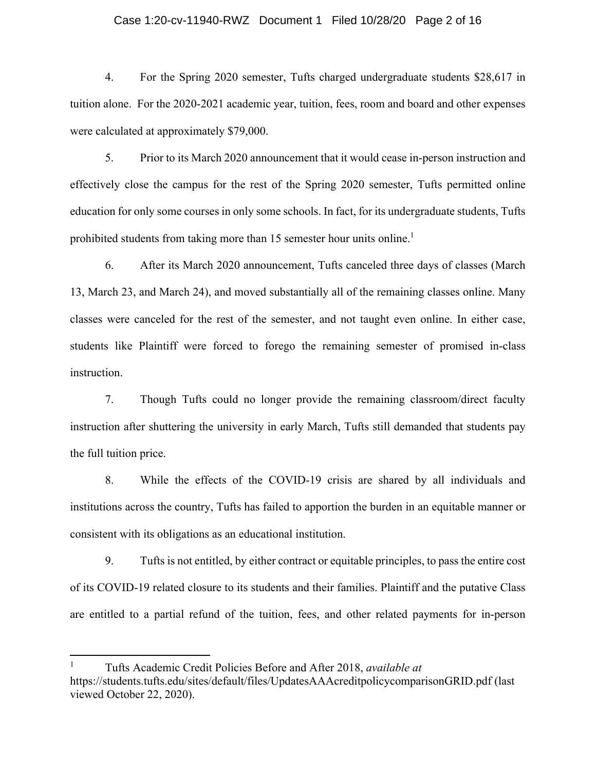#### Case 1:20-cv-11940-RWZ Document 1 Filed 10/28/20 Page 2 of 16

4. For the Spring 2020 semester, Tufts charged undergraduate students \$28,617 in tuition alone. For the 2020-2021 academic year, tuition, fees, room and board and other expenses were calculated at approximately \$79,000.

5. Prior to its March 2020 announcement that it would cease in-person instruction and effectively close the campus for the rest of the Spring 2020 semester, Tufts permitted online education for only some courses in only some schools. In fact, for its undergraduate students, Tufts prohibited students from taking more than 15 semester hour units online.<sup>1</sup>

6. After its March 2020 announcement, Tufts canceled three days of classes (March 13, March 23, and March 24), and moved substantially all of the remaining classes online. Many classes were canceled for the rest of the semester, and not taught even online. In either case, students like Plaintiff were forced to forego the remaining semester of promised in-class instruction.

7. Though Tufts could no longer provide the remaining classroom/direct faculty instruction after shuttering the university in early March, Tufts still demanded that students pay the full tuition price.

8. While the effects of the COVID-19 crisis are shared by all individuals and institutions across the country, Tufts has failed to apportion the burden in an equitable manner or consistent with its obligations as an educational institution.

9. Tufts is not entitled, by either contract or equitable principles, to pass the entire cost of its COVID-19 related closure to its students and their families. Plaintiff and the putative Class are entitled to a partial refund of the tuition, fees, and other related payments for in-person

<sup>1</sup> Tufts Academic Credit Policies Before and After 2018, *available at* https://students.tufts.edu/sites/default/files/UpdatesAAAcreditpolicycomparisonGRID.pdf (last viewed October 22, 2020).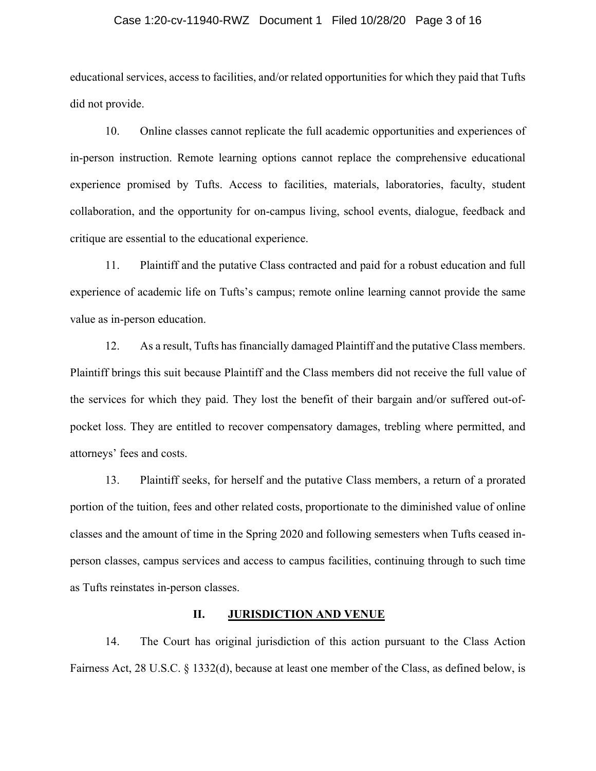#### Case 1:20-cv-11940-RWZ Document 1 Filed 10/28/20 Page 3 of 16

educational services, access to facilities, and/or related opportunities for which they paid that Tufts did not provide.

10. Online classes cannot replicate the full academic opportunities and experiences of in-person instruction. Remote learning options cannot replace the comprehensive educational experience promised by Tufts. Access to facilities, materials, laboratories, faculty, student collaboration, and the opportunity for on-campus living, school events, dialogue, feedback and critique are essential to the educational experience.

11. Plaintiff and the putative Class contracted and paid for a robust education and full experience of academic life on Tufts's campus; remote online learning cannot provide the same value as in-person education.

12. As a result, Tufts has financially damaged Plaintiff and the putative Class members. Plaintiff brings this suit because Plaintiff and the Class members did not receive the full value of the services for which they paid. They lost the benefit of their bargain and/or suffered out-ofpocket loss. They are entitled to recover compensatory damages, trebling where permitted, and attorneys' fees and costs.

13. Plaintiff seeks, for herself and the putative Class members, a return of a prorated portion of the tuition, fees and other related costs, proportionate to the diminished value of online classes and the amount of time in the Spring 2020 and following semesters when Tufts ceased inperson classes, campus services and access to campus facilities, continuing through to such time as Tufts reinstates in-person classes.

#### **II. JURISDICTION AND VENUE**

14. The Court has original jurisdiction of this action pursuant to the Class Action Fairness Act, 28 U.S.C. § 1332(d), because at least one member of the Class, as defined below, is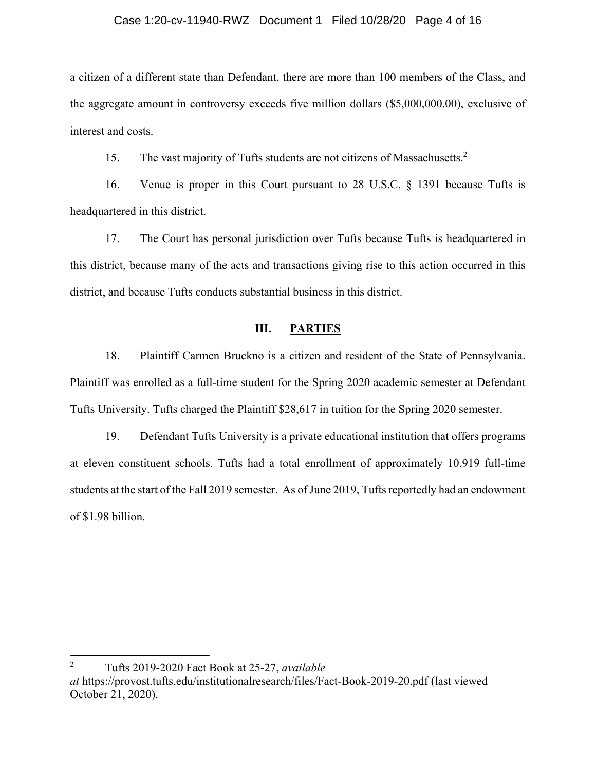#### Case 1:20-cv-11940-RWZ Document 1 Filed 10/28/20 Page 4 of 16

a citizen of a different state than Defendant, there are more than 100 members of the Class, and the aggregate amount in controversy exceeds five million dollars (\$5,000,000.00), exclusive of interest and costs.

15. The vast majority of Tufts students are not citizens of Massachusetts.<sup>2</sup>

16. Venue is proper in this Court pursuant to 28 U.S.C. § 1391 because Tufts is headquartered in this district.

17. The Court has personal jurisdiction over Tufts because Tufts is headquartered in this district, because many of the acts and transactions giving rise to this action occurred in this district, and because Tufts conducts substantial business in this district.

## **III. PARTIES**

18. Plaintiff Carmen Bruckno is a citizen and resident of the State of Pennsylvania. Plaintiff was enrolled as a full-time student for the Spring 2020 academic semester at Defendant Tufts University. Tufts charged the Plaintiff \$28,617 in tuition for the Spring 2020 semester.

19. Defendant Tufts University is a private educational institution that offers programs at eleven constituent schools. Tufts had a total enrollment of approximately 10,919 full-time students at the start of the Fall 2019 semester. As of June 2019, Tufts reportedly had an endowment of \$1.98 billion.

<sup>2</sup> Tufts 2019-2020 Fact Book at 25-27, *available at* https://provost.tufts.edu/institutionalresearch/files/Fact-Book-2019-20.pdf (last viewed October 21, 2020).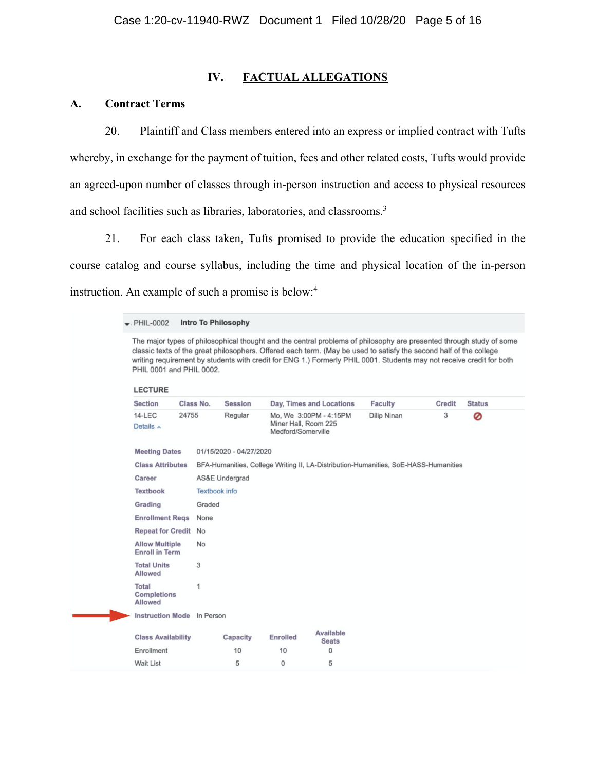### **IV. FACTUAL ALLEGATIONS**

## **A. Contract Terms**

20. Plaintiff and Class members entered into an express or implied contract with Tufts whereby, in exchange for the payment of tuition, fees and other related costs, Tufts would provide an agreed-upon number of classes through in-person instruction and access to physical resources and school facilities such as libraries, laboratories, and classrooms.<sup>3</sup>

21. For each class taken, Tufts promised to provide the education specified in the course catalog and course syllabus, including the time and physical location of the in-person instruction. An example of such a promise is below:<sup>4</sup>

#### Intro To Philosophy  $\bullet$ . PHIL-0002

The major types of philosophical thought and the central problems of philosophy are presented through study of some classic texts of the great philosophers. Offered each term. (May be used to satisfy the second half of the college writing requirement by students with credit for ENG 1.) Formerly PHIL 0001. Students may not receive credit for both PHIL 0001 and PHIL 0002.

| <b>LECTURE</b>                                                                                                    |                                     |                             |          |                 |                                                                      |                                                                                     |               |               |
|-------------------------------------------------------------------------------------------------------------------|-------------------------------------|-----------------------------|----------|-----------------|----------------------------------------------------------------------|-------------------------------------------------------------------------------------|---------------|---------------|
| <b>Section</b>                                                                                                    |                                     | Class No.<br><b>Session</b> |          |                 | Day, Times and Locations                                             | <b>Faculty</b>                                                                      | <b>Credit</b> | <b>Status</b> |
| 24755<br>$14 - LEC$<br>Details $\sim$                                                                             |                                     | Regular                     |          |                 | Mo, We 3:00PM - 4:15PM<br>Miner Hall, Room 225<br>Medford/Somerville |                                                                                     | 3             | 0             |
| <b>Meeting Dates</b><br>01/15/2020 - 04/27/2020<br><b>Class Attributes</b><br>Career<br><b>AS&amp;E Undergrad</b> |                                     |                             |          |                 |                                                                      |                                                                                     |               |               |
|                                                                                                                   |                                     |                             |          |                 |                                                                      | BFA-Humanities, College Writing II, LA-Distribution-Humanities, SoE-HASS-Humanities |               |               |
|                                                                                                                   |                                     |                             |          |                 |                                                                      |                                                                                     |               |               |
| <b>Textbook</b>                                                                                                   |                                     | <b>Textbook</b> info        |          |                 |                                                                      |                                                                                     |               |               |
| Grading                                                                                                           |                                     | Graded                      |          |                 |                                                                      |                                                                                     |               |               |
| <b>Enrollment Regs</b>                                                                                            | None<br><b>Repeat for Credit No</b> |                             |          |                 |                                                                      |                                                                                     |               |               |
|                                                                                                                   |                                     |                             |          |                 |                                                                      |                                                                                     |               |               |
| <b>Allow Multiple</b><br><b>Enroll in Term</b>                                                                    |                                     | <b>No</b>                   |          |                 |                                                                      |                                                                                     |               |               |
| <b>Total Units</b><br>Allowed                                                                                     |                                     | 3                           |          |                 |                                                                      |                                                                                     |               |               |
| Total<br><b>Completions</b><br>Allowed                                                                            |                                     | 1                           |          |                 |                                                                      |                                                                                     |               |               |
| <b>Instruction Mode</b>                                                                                           |                                     | In Person                   |          |                 |                                                                      |                                                                                     |               |               |
| <b>Class Availability</b>                                                                                         |                                     |                             | Capacity | <b>Enrolled</b> | Available<br><b>Seats</b>                                            |                                                                                     |               |               |
| Enrollment                                                                                                        |                                     |                             | 10       | 10              | 0                                                                    |                                                                                     |               |               |
| <b>Wait List</b>                                                                                                  |                                     |                             | 5        | $\mathbf{0}$    | 5                                                                    |                                                                                     |               |               |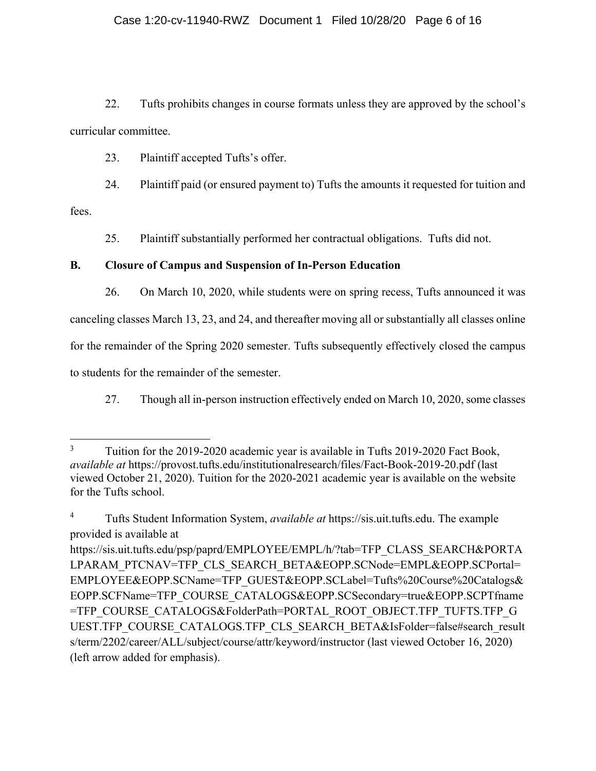22. Tufts prohibits changes in course formats unless they are approved by the school's curricular committee.

23. Plaintiff accepted Tufts's offer.

24. Plaintiff paid (or ensured payment to) Tufts the amounts it requested for tuition and

fees.

25. Plaintiff substantially performed her contractual obligations. Tufts did not.

# **B. Closure of Campus and Suspension of In-Person Education**

26. On March 10, 2020, while students were on spring recess, Tufts announced it was canceling classes March 13, 23, and 24, and thereafter moving all or substantially all classes online for the remainder of the Spring 2020 semester. Tufts subsequently effectively closed the campus to students for the remainder of the semester.

27. Though all in-person instruction effectively ended on March 10, 2020, some classes

<sup>3</sup> Tuition for the 2019-2020 academic year is available in Tufts 2019-2020 Fact Book, *available at* https://provost.tufts.edu/institutionalresearch/files/Fact-Book-2019-20.pdf (last viewed October 21, 2020). Tuition for the 2020-2021 academic year is available on the website for the Tufts school.

<sup>4</sup> Tufts Student Information System, *available at* https://sis.uit.tufts.edu. The example provided is available at

https://sis.uit.tufts.edu/psp/paprd/EMPLOYEE/EMPL/h/?tab=TFP\_CLASS\_SEARCH&PORTA LPARAM\_PTCNAV=TFP\_CLS\_SEARCH\_BETA&EOPP.SCNode=EMPL&EOPP.SCPortal= EMPLOYEE&EOPP.SCName=TFP\_GUEST&EOPP.SCLabel=Tufts%20Course%20Catalogs& EOPP.SCFName=TFP\_COURSE\_CATALOGS&EOPP.SCSecondary=true&EOPP.SCPTfname =TFP\_COURSE\_CATALOGS&FolderPath=PORTAL\_ROOT\_OBJECT.TFP\_TUFTS.TFP\_G UEST.TFP\_COURSE\_CATALOGS.TFP\_CLS\_SEARCH\_BETA&IsFolder=false#search\_result s/term/2202/career/ALL/subject/course/attr/keyword/instructor (last viewed October 16, 2020) (left arrow added for emphasis).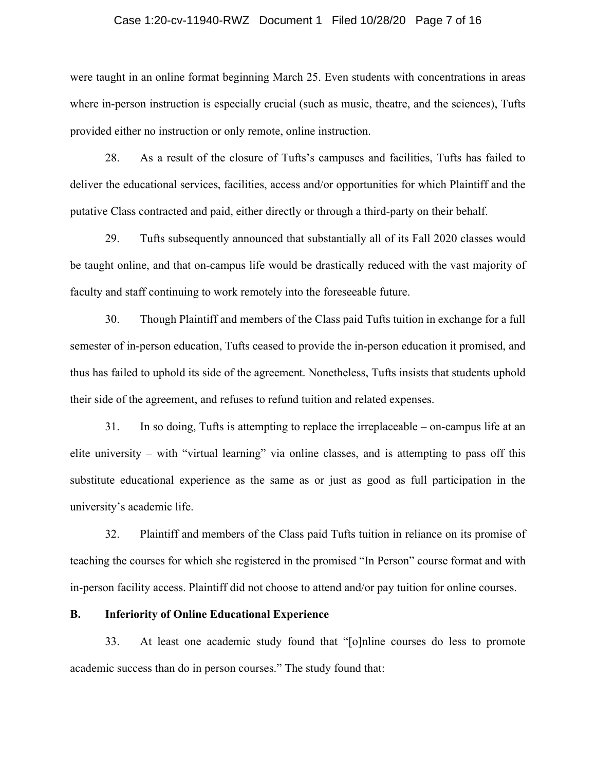#### Case 1:20-cv-11940-RWZ Document 1 Filed 10/28/20 Page 7 of 16

were taught in an online format beginning March 25. Even students with concentrations in areas where in-person instruction is especially crucial (such as music, theatre, and the sciences), Tufts provided either no instruction or only remote, online instruction.

28. As a result of the closure of Tufts's campuses and facilities, Tufts has failed to deliver the educational services, facilities, access and/or opportunities for which Plaintiff and the putative Class contracted and paid, either directly or through a third-party on their behalf.

29. Tufts subsequently announced that substantially all of its Fall 2020 classes would be taught online, and that on-campus life would be drastically reduced with the vast majority of faculty and staff continuing to work remotely into the foreseeable future.

30. Though Plaintiff and members of the Class paid Tufts tuition in exchange for a full semester of in-person education, Tufts ceased to provide the in-person education it promised, and thus has failed to uphold its side of the agreement. Nonetheless, Tufts insists that students uphold their side of the agreement, and refuses to refund tuition and related expenses.

31. In so doing, Tufts is attempting to replace the irreplaceable – on-campus life at an elite university – with "virtual learning" via online classes, and is attempting to pass off this substitute educational experience as the same as or just as good as full participation in the university's academic life.

32. Plaintiff and members of the Class paid Tufts tuition in reliance on its promise of teaching the courses for which she registered in the promised "In Person" course format and with in-person facility access. Plaintiff did not choose to attend and/or pay tuition for online courses.

#### **B. Inferiority of Online Educational Experience**

33. At least one academic study found that "[o]nline courses do less to promote academic success than do in person courses." The study found that: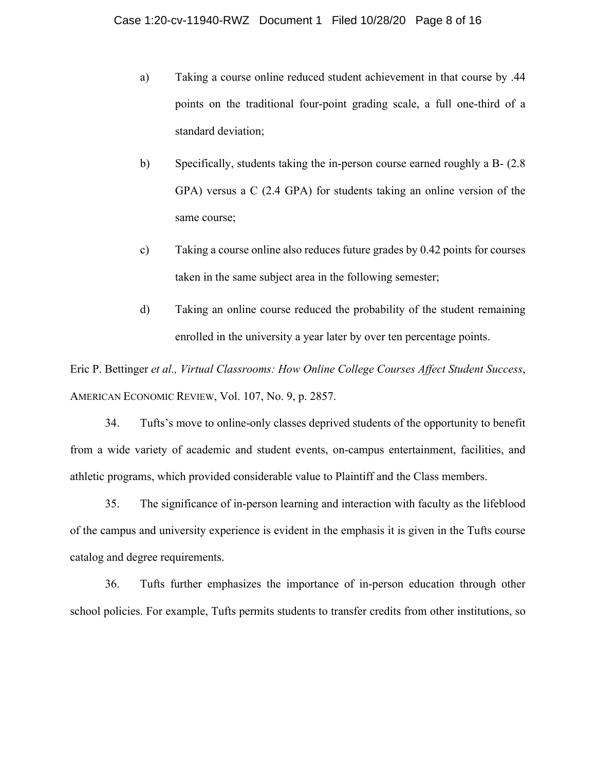- a) Taking a course online reduced student achievement in that course by .44 points on the traditional four-point grading scale, a full one-third of a standard deviation;
- b) Specifically, students taking the in-person course earned roughly a B- (2.8 GPA) versus a C (2.4 GPA) for students taking an online version of the same course;
- c) Taking a course online also reduces future grades by 0.42 points for courses taken in the same subject area in the following semester;
- d) Taking an online course reduced the probability of the student remaining enrolled in the university a year later by over ten percentage points.

Eric P. Bettinger *et al., Virtual Classrooms: How Online College Courses Affect Student Success*, AMERICAN ECONOMIC REVIEW, Vol. 107, No. 9, p. 2857.

34. Tufts's move to online-only classes deprived students of the opportunity to benefit from a wide variety of academic and student events, on-campus entertainment, facilities, and athletic programs, which provided considerable value to Plaintiff and the Class members.

35. The significance of in-person learning and interaction with faculty as the lifeblood of the campus and university experience is evident in the emphasis it is given in the Tufts course catalog and degree requirements.

36. Tufts further emphasizes the importance of in-person education through other school policies. For example, Tufts permits students to transfer credits from other institutions, so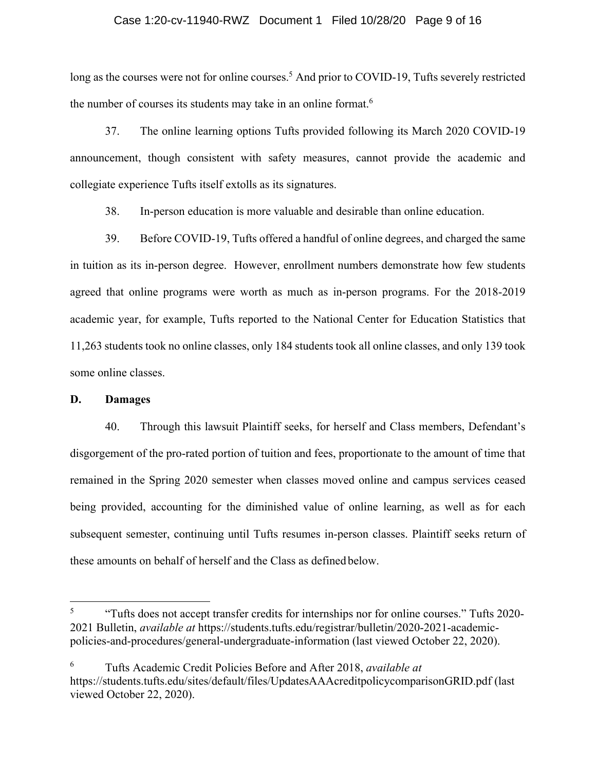#### Case 1:20-cv-11940-RWZ Document 1 Filed 10/28/20 Page 9 of 16

long as the courses were not for online courses.<sup>5</sup> And prior to COVID-19, Tufts severely restricted the number of courses its students may take in an online format.<sup>6</sup>

37. The online learning options Tufts provided following its March 2020 COVID-19 announcement, though consistent with safety measures, cannot provide the academic and collegiate experience Tufts itself extolls as its signatures.

38. In-person education is more valuable and desirable than online education.

39. Before COVID-19, Tufts offered a handful of online degrees, and charged the same in tuition as its in-person degree. However, enrollment numbers demonstrate how few students agreed that online programs were worth as much as in-person programs. For the 2018-2019 academic year, for example, Tufts reported to the National Center for Education Statistics that 11,263 students took no online classes, only 184 students took all online classes, and only 139 took some online classes.

#### **D. Damages**

40. Through this lawsuit Plaintiff seeks, for herself and Class members, Defendant's disgorgement of the pro-rated portion of tuition and fees, proportionate to the amount of time that remained in the Spring 2020 semester when classes moved online and campus services ceased being provided, accounting for the diminished value of online learning, as well as for each subsequent semester, continuing until Tufts resumes in-person classes. Plaintiff seeks return of these amounts on behalf of herself and the Class as defined below.

6 Tufts Academic Credit Policies Before and After 2018, *available at* https://students.tufts.edu/sites/default/files/UpdatesAAAcreditpolicycomparisonGRID.pdf (last viewed October 22, 2020).

<sup>5</sup> "Tufts does not accept transfer credits for internships nor for online courses." Tufts 2020- 2021 Bulletin, *available at* https://students.tufts.edu/registrar/bulletin/2020-2021-academicpolicies-and-procedures/general-undergraduate-information (last viewed October 22, 2020).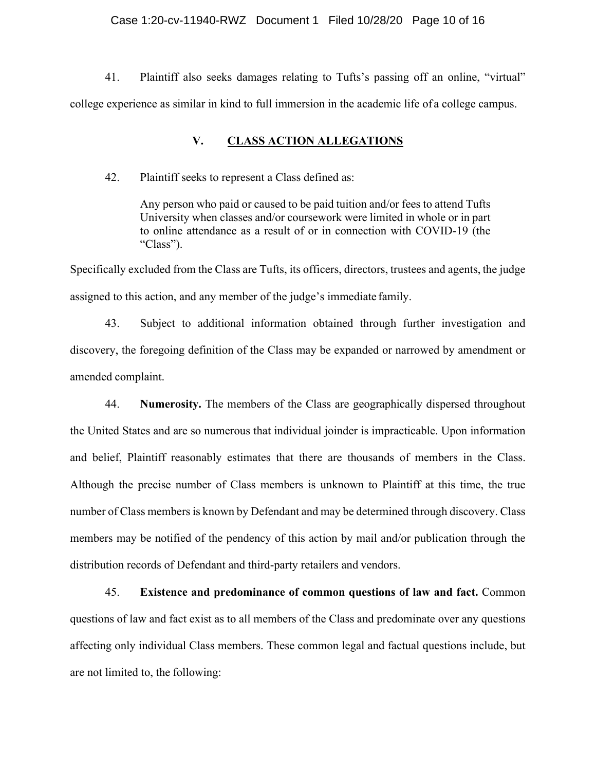#### Case 1:20-cv-11940-RWZ Document 1 Filed 10/28/20 Page 10 of 16

41. Plaintiff also seeks damages relating to Tufts's passing off an online, "virtual" college experience as similar in kind to full immersion in the academic life of a college campus.

## **V. CLASS ACTION ALLEGATIONS**

42. Plaintiff seeks to represent a Class defined as:

Any person who paid or caused to be paid tuition and/or fees to attend Tufts University when classes and/or coursework were limited in whole or in part to online attendance as a result of or in connection with COVID-19 (the "Class").

Specifically excluded from the Class are Tufts, its officers, directors, trustees and agents, the judge assigned to this action, and any member of the judge's immediate family.

43. Subject to additional information obtained through further investigation and discovery, the foregoing definition of the Class may be expanded or narrowed by amendment or amended complaint.

44. **Numerosity.** The members of the Class are geographically dispersed throughout the United States and are so numerous that individual joinder is impracticable. Upon information and belief, Plaintiff reasonably estimates that there are thousands of members in the Class. Although the precise number of Class members is unknown to Plaintiff at this time, the true number of Class members is known by Defendant and may be determined through discovery. Class members may be notified of the pendency of this action by mail and/or publication through the distribution records of Defendant and third-party retailers and vendors.

45. **Existence and predominance of common questions of law and fact.** Common questions of law and fact exist as to all members of the Class and predominate over any questions affecting only individual Class members. These common legal and factual questions include, but are not limited to, the following: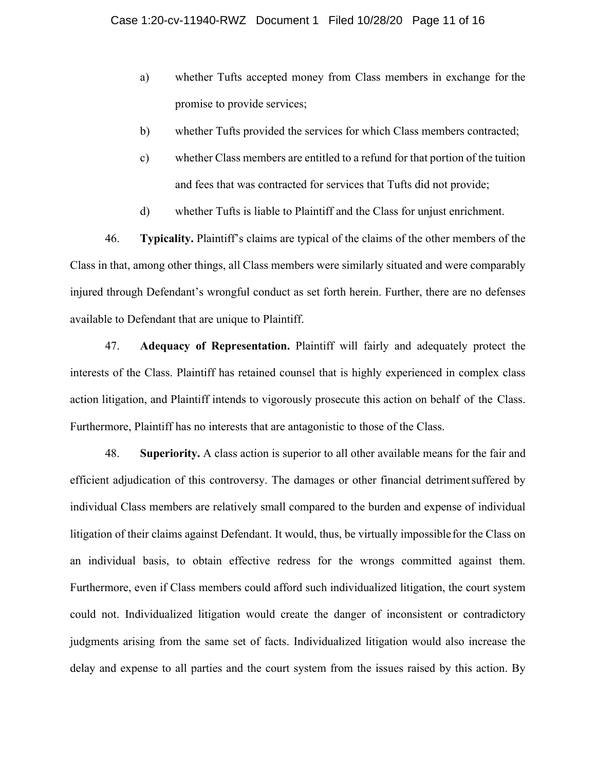- a) whether Tufts accepted money from Class members in exchange for the promise to provide services;
- b) whether Tufts provided the services for which Class members contracted;
- c) whether Class members are entitled to a refund for that portion of the tuition and fees that was contracted for services that Tufts did not provide;
- d) whether Tufts is liable to Plaintiff and the Class for unjust enrichment.

46. **Typicality.** Plaintiff's claims are typical of the claims of the other members of the Class in that, among other things, all Class members were similarly situated and were comparably injured through Defendant's wrongful conduct as set forth herein. Further, there are no defenses available to Defendant that are unique to Plaintiff.

47. **Adequacy of Representation.** Plaintiff will fairly and adequately protect the interests of the Class. Plaintiff has retained counsel that is highly experienced in complex class action litigation, and Plaintiff intends to vigorously prosecute this action on behalf of the Class. Furthermore, Plaintiff has no interests that are antagonistic to those of the Class.

48. **Superiority.** A class action is superior to all other available means for the fair and efficient adjudication of this controversy. The damages or other financial detriment suffered by individual Class members are relatively small compared to the burden and expense of individual litigation of their claims against Defendant. It would, thus, be virtually impossible for the Class on an individual basis, to obtain effective redress for the wrongs committed against them. Furthermore, even if Class members could afford such individualized litigation, the court system could not. Individualized litigation would create the danger of inconsistent or contradictory judgments arising from the same set of facts. Individualized litigation would also increase the delay and expense to all parties and the court system from the issues raised by this action. By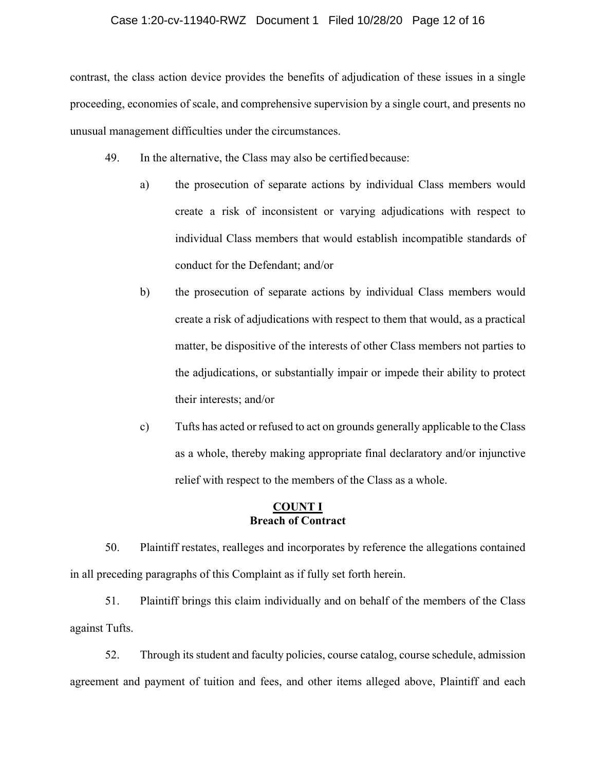#### Case 1:20-cv-11940-RWZ Document 1 Filed 10/28/20 Page 12 of 16

contrast, the class action device provides the benefits of adjudication of these issues in a single proceeding, economies of scale, and comprehensive supervision by a single court, and presents no unusual management difficulties under the circumstances.

- 49. In the alternative, the Class may also be certified because:
	- a) the prosecution of separate actions by individual Class members would create a risk of inconsistent or varying adjudications with respect to individual Class members that would establish incompatible standards of conduct for the Defendant; and/or
	- b) the prosecution of separate actions by individual Class members would create a risk of adjudications with respect to them that would, as a practical matter, be dispositive of the interests of other Class members not parties to the adjudications, or substantially impair or impede their ability to protect their interests; and/or
	- c) Tufts has acted or refused to act on grounds generally applicable to the Class as a whole, thereby making appropriate final declaratory and/or injunctive relief with respect to the members of the Class as a whole.

## **COUNT I Breach of Contract**

50. Plaintiff restates, realleges and incorporates by reference the allegations contained in all preceding paragraphs of this Complaint as if fully set forth herein.

51. Plaintiff brings this claim individually and on behalf of the members of the Class against Tufts.

52. Through its student and faculty policies, course catalog, course schedule, admission agreement and payment of tuition and fees, and other items alleged above, Plaintiff and each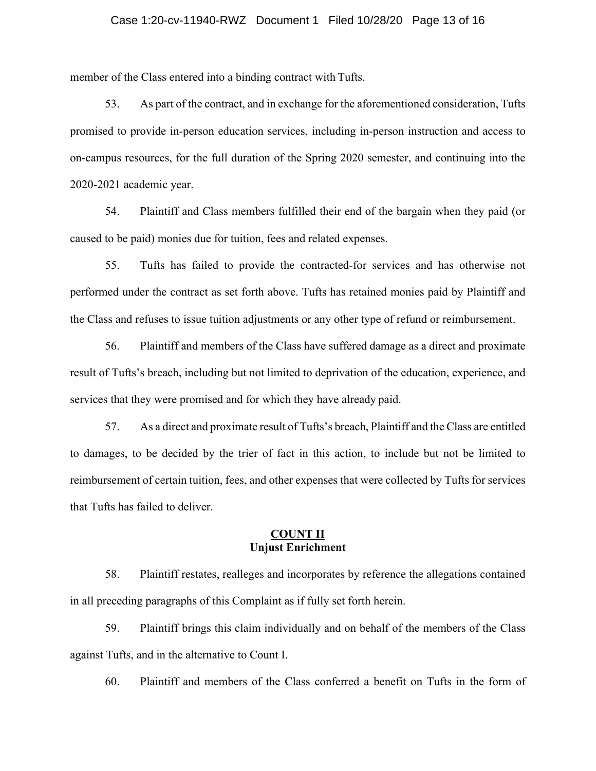#### Case 1:20-cv-11940-RWZ Document 1 Filed 10/28/20 Page 13 of 16

member of the Class entered into a binding contract with Tufts.

53. As part of the contract, and in exchange for the aforementioned consideration, Tufts promised to provide in-person education services, including in-person instruction and access to on-campus resources, for the full duration of the Spring 2020 semester, and continuing into the 2020-2021 academic year.

54. Plaintiff and Class members fulfilled their end of the bargain when they paid (or caused to be paid) monies due for tuition, fees and related expenses.

55. Tufts has failed to provide the contracted-for services and has otherwise not performed under the contract as set forth above. Tufts has retained monies paid by Plaintiff and the Class and refuses to issue tuition adjustments or any other type of refund or reimbursement.

56. Plaintiff and members of the Class have suffered damage as a direct and proximate result of Tufts's breach, including but not limited to deprivation of the education, experience, and services that they were promised and for which they have already paid.

57. As a direct and proximate result of Tufts's breach, Plaintiff and the Class are entitled to damages, to be decided by the trier of fact in this action, to include but not be limited to reimbursement of certain tuition, fees, and other expenses that were collected by Tufts for services that Tufts has failed to deliver.

## **COUNT II Unjust Enrichment**

58. Plaintiff restates, realleges and incorporates by reference the allegations contained in all preceding paragraphs of this Complaint as if fully set forth herein.

59. Plaintiff brings this claim individually and on behalf of the members of the Class against Tufts, and in the alternative to Count I.

60. Plaintiff and members of the Class conferred a benefit on Tufts in the form of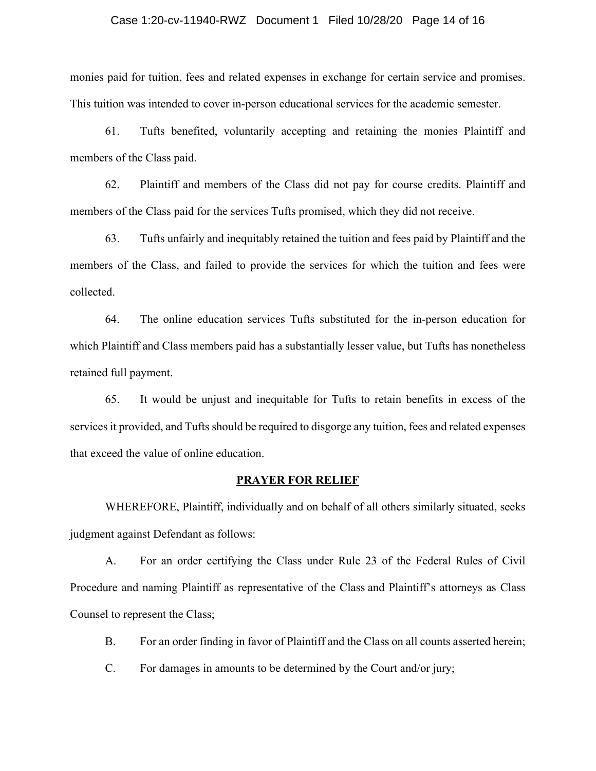#### Case 1:20-cv-11940-RWZ Document 1 Filed 10/28/20 Page 14 of 16

monies paid for tuition, fees and related expenses in exchange for certain service and promises. This tuition was intended to cover in-person educational services for the academic semester.

61. Tufts benefited, voluntarily accepting and retaining the monies Plaintiff and members of the Class paid.

62. Plaintiff and members of the Class did not pay for course credits. Plaintiff and members of the Class paid for the services Tufts promised, which they did not receive.

63. Tufts unfairly and inequitably retained the tuition and fees paid by Plaintiff and the members of the Class, and failed to provide the services for which the tuition and fees were collected.

64. The online education services Tufts substituted for the in-person education for which Plaintiff and Class members paid has a substantially lesser value, but Tufts has nonetheless retained full payment.

65. It would be unjust and inequitable for Tufts to retain benefits in excess of the services it provided, and Tufts should be required to disgorge any tuition, fees and related expenses that exceed the value of online education.

#### **PRAYER FOR RELIEF**

 WHEREFORE, Plaintiff, individually and on behalf of all others similarly situated, seeks judgment against Defendant as follows:

A. For an order certifying the Class under Rule 23 of the Federal Rules of Civil Procedure and naming Plaintiff as representative of the Class and Plaintiff's attorneys as Class Counsel to represent the Class;

B. For an order finding in favor of Plaintiff and the Class on all counts asserted herein;

C. For damages in amounts to be determined by the Court and/or jury;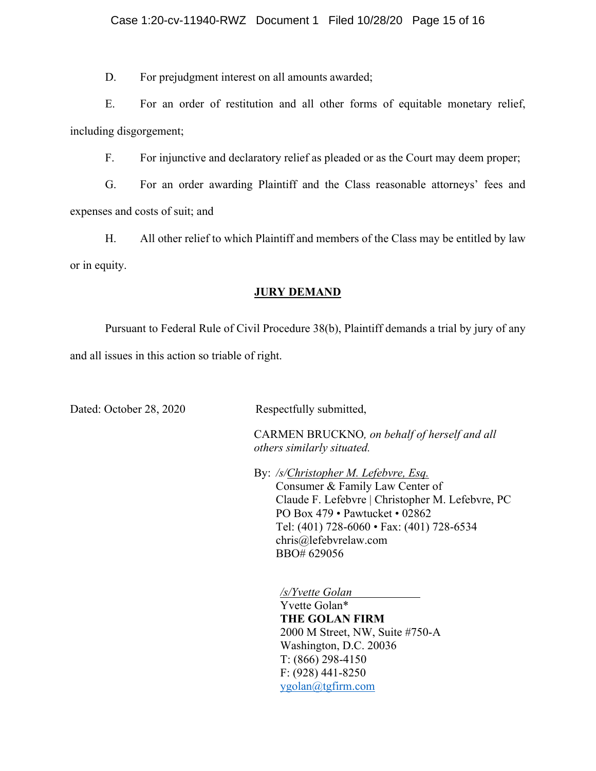D. For prejudgment interest on all amounts awarded;

E. For an order of restitution and all other forms of equitable monetary relief, including disgorgement;

F. For injunctive and declaratory relief as pleaded or as the Court may deem proper;

G. For an order awarding Plaintiff and the Class reasonable attorneys' fees and expenses and costs of suit; and

H. All other relief to which Plaintiff and members of the Class may be entitled by law or in equity.

## **JURY DEMAND**

Pursuant to Federal Rule of Civil Procedure 38(b), Plaintiff demands a trial by jury of any and all issues in this action so triable of right.

Dated: October 28, 2020 Respectfully submitted,

CARMEN BRUCKNO*, on behalf of herself and all others similarly situated.* 

 By: */s/Christopher M. Lefebvre, Esq.* Consumer & Family Law Center of Claude F. Lefebvre | Christopher M. Lefebvre, PC PO Box 479 • Pawtucket • 02862 Tel: (401) 728-6060 • Fax: (401) 728-6534 chris@lefebvrelaw.com BBO# 629056

*/s/Yvette Golan* 

Yvette Golan\* **THE GOLAN FIRM**  2000 M Street, NW, Suite #750-A Washington, D.C. 20036 T: (866) 298-4150 F: (928) 441-8250 ygolan@tgfirm.com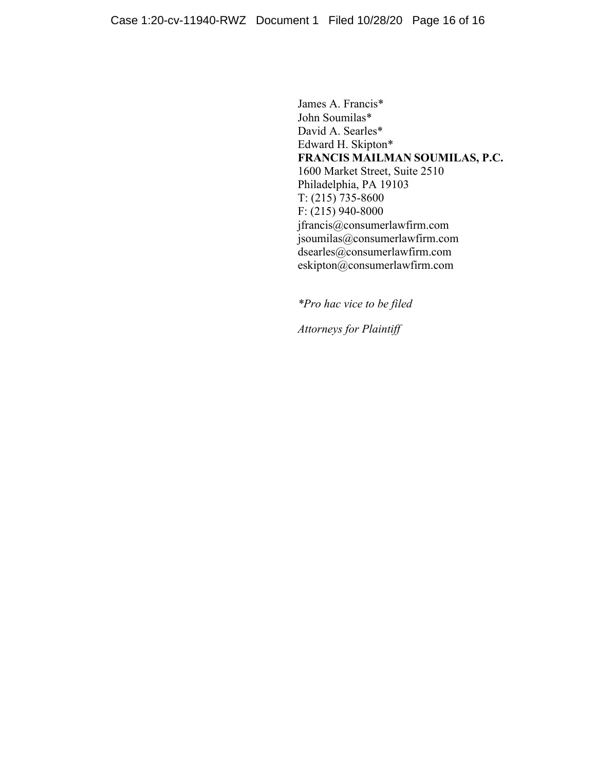James A. Francis\* John Soumilas\* David A. Searles\* Edward H. Skipton\* **FRANCIS MAILMAN SOUMILAS, P.C.**  1600 Market Street, Suite 2510 Philadelphia, PA 19103 T: (215) 735-8600 F: (215) 940-8000 jfrancis@consumerlawfirm.com jsoumilas@consumerlawfirm.com dsearles@consumerlawfirm.com eskipton@consumerlawfirm.com

*\*Pro hac vice to be filed* 

*Attorneys for Plaintiff*